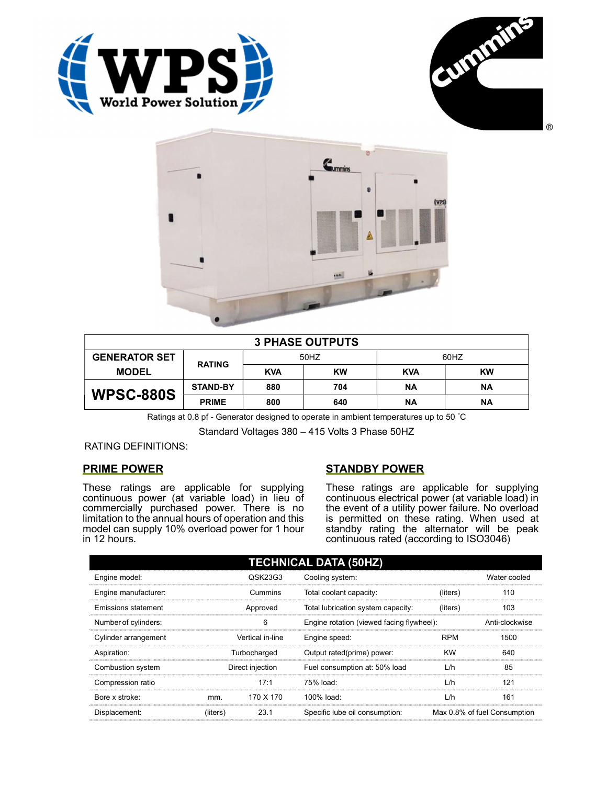





| <b>3 PHASE OUTPUTS</b> |                 |            |           |            |           |  |
|------------------------|-----------------|------------|-----------|------------|-----------|--|
| <b>GENERATOR SET</b>   | <b>RATING</b>   | 50HZ       |           | 60HZ       |           |  |
| <b>MODEL</b>           |                 | <b>KVA</b> | <b>KW</b> | <b>KVA</b> | <b>KW</b> |  |
| <b>WPSC-880S</b>       | <b>STAND-BY</b> | 880        | 704       | ΝA         | ΝA        |  |
|                        | <b>PRIME</b>    | 800        | 640       | <b>NA</b>  | ΝA        |  |

Ratings at 0.8 pf - Generator designed to operate in ambient temperatures up to 50 °C

Standard Voltages 380 – 415 Volts 3 Phase 50HZ

RATING DEFINITIONS:

# PRIME POWER

These ratings are applicable for supplying continuous power (at variable load) in lieu of commercially purchased power. There is no limitation to the annual hours of operation and this model can supply 10% overload power for 1 hour in 12 hours.

# STANDBY POWER

These ratings are applicable for supplying continuous electrical power (at variable load) in the event of a utility power failure. No overload is permitted on these rating. When used at standby rating the alternator will be peak continuous rated (according to ISO3046)

| <b>TECHNICAL DATA (50HZ)</b> |                  |           |                                           |            |                              |  |
|------------------------------|------------------|-----------|-------------------------------------------|------------|------------------------------|--|
| Engine model:                |                  | QSK23G3   | Cooling system:                           |            | Water cooled                 |  |
| Engine manufacturer:         | Cummins          |           | Total coolant capacity:                   | (liters)   | 110                          |  |
| Emissions statement          | Approved         |           | Total lubrication system capacity:        | (liters)   | 103                          |  |
| Number of cylinders:         | 6                |           | Engine rotation (viewed facing flywheel): |            | Anti-clockwise               |  |
| Cylinder arrangement         | Vertical in-line |           | Engine speed:                             | <b>RPM</b> | 1500                         |  |
| Aspiration:                  | Turbocharged     |           | Output rated(prime) power:                | <b>KW</b>  | 640                          |  |
| Combustion system            | Direct injection |           | Fuel consumption at: 50% load             | L/h        | 85                           |  |
| Compression ratio            |                  | 17:1      | 75% load:                                 | L/h        | 121                          |  |
| Bore x stroke:               | mm.              | 170 X 170 | $100\%$ load:                             | L/h        | 161                          |  |
| Displacement:                | (liters)         | 23.1      | Specific lube oil consumption:            |            | Max 0.8% of fuel Consumption |  |